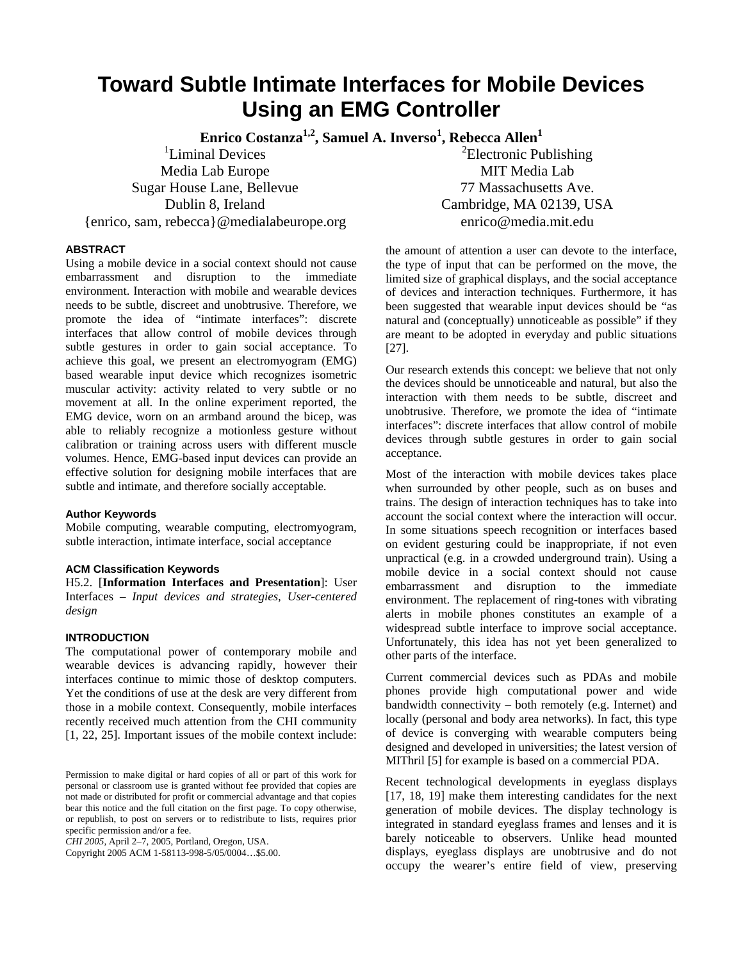# **Toward Subtle Intimate Interfaces for Mobile Devices Using an EMG Controller**

 $\boldsymbol{\mathrm{Enrico\ Cost}}$ anza<sup>1,2</sup>, Samuel A. Inverso<sup>1</sup>, Rebecca Allen<sup>1</sup>

<sup>1</sup>Liminal Devices Media Lab Europe Sugar House Lane, Bellevue Dublin 8, Ireland {enrico, sam, rebecca}@medialabeurope.org

 ${}^{2}$ Electronic Publishing MIT Media Lab 77 Massachusetts Ave. Cambridge, MA 02139, USA enrico@media.mit.edu

## **ABSTRACT**

Using a mobile device in a social context should not cause embarrassment and disruption to the immediate environment. Interaction with mobile and wearable devices needs to be subtle, discreet and unobtrusive. Therefore, we promote the idea of "intimate interfaces": discrete interfaces that allow control of mobile devices through subtle gestures in order to gain social acceptance. To achieve this goal, we present an electromyogram (EMG) based wearable input device which recognizes isometric muscular activity: activity related to very subtle or no movement at all. In the online experiment reported, the EMG device, worn on an armband around the bicep, was able to reliably recognize a motionless gesture without calibration or training across users with different muscle volumes. Hence, EMG-based input devices can provide an effective solution for designing mobile interfaces that are subtle and intimate, and therefore socially acceptable.

#### **Author Keywords**

Mobile computing, wearable computing, electromyogram, subtle interaction, intimate interface, social acceptance

#### **ACM Classification Keywords**

H5.2. [**Information Interfaces and Presentation**]: User Interfaces – *Input devices and strategies, User-centered design* 

#### **INTRODUCTION**

The computational power of contemporary mobile and wearable devices is advancing rapidly, however their interfaces continue to mimic those of desktop computers. Yet the conditions of use at the desk are very different from those in a mobile context. Consequently, mobile interfaces recently received much attention from the CHI community [1, 22, 25]. Important issues of the mobile context include:

*CHI 2005*, April 2–7, 2005, Portland, Oregon, USA.

Copyright 2005 ACM 1-58113-998-5/05/0004…\$5.00.

the amount of attention a user can devote to the interface, the type of input that can be performed on the move, the limited size of graphical displays, and the social acceptance of devices and interaction techniques. Furthermore, it has been suggested that wearable input devices should be "as natural and (conceptually) unnoticeable as possible" if they are meant to be adopted in everyday and public situations [27].

Our research extends this concept: we believe that not only the devices should be unnoticeable and natural, but also the interaction with them needs to be subtle, discreet and unobtrusive. Therefore, we promote the idea of "intimate interfaces": discrete interfaces that allow control of mobile devices through subtle gestures in order to gain social acceptance.

Most of the interaction with mobile devices takes place when surrounded by other people, such as on buses and trains. The design of interaction techniques has to take into account the social context where the interaction will occur. In some situations speech recognition or interfaces based on evident gesturing could be inappropriate, if not even unpractical (e.g. in a crowded underground train). Using a mobile device in a social context should not cause embarrassment and disruption to the immediate environment. The replacement of ring-tones with vibrating alerts in mobile phones constitutes an example of a widespread subtle interface to improve social acceptance. Unfortunately, this idea has not yet been generalized to other parts of the interface.

Current commercial devices such as PDAs and mobile phones provide high computational power and wide bandwidth connectivity – both remotely (e.g. Internet) and locally (personal and body area networks). In fact, this type of device is converging with wearable computers being designed and developed in universities; the latest version of MIThril [5] for example is based on a commercial PDA.

Recent technological developments in eyeglass displays [17, 18, 19] make them interesting candidates for the next generation of mobile devices. The display technology is integrated in standard eyeglass frames and lenses and it is barely noticeable to observers. Unlike head mounted displays, eyeglass displays are unobtrusive and do not occupy the wearer's entire field of view, preserving

Permission to make digital or hard copies of all or part of this work for personal or classroom use is granted without fee provided that copies are not made or distributed for profit or commercial advantage and that copies bear this notice and the full citation on the first page. To copy otherwise, or republish, to post on servers or to redistribute to lists, requires prior specific permission and/or a fee.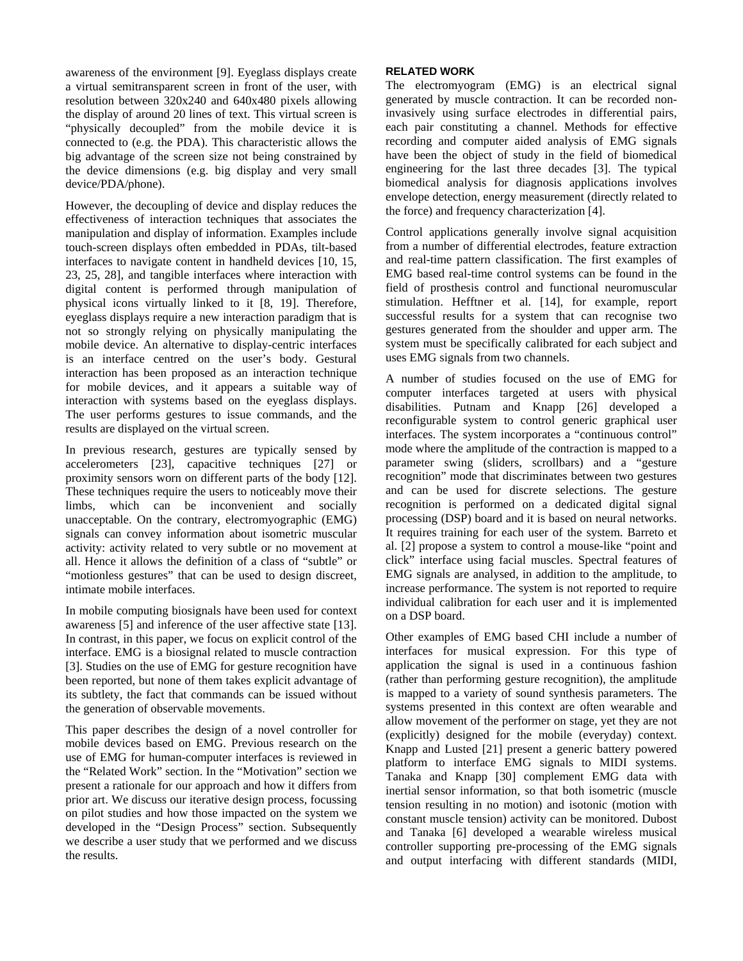awareness of the environment [9]. Eyeglass displays create a virtual semitransparent screen in front of the user, with resolution between 320x240 and 640x480 pixels allowing the display of around 20 lines of text. This virtual screen is "physically decoupled" from the mobile device it is connected to (e.g. the PDA). This characteristic allows the big advantage of the screen size not being constrained by the device dimensions (e.g. big display and very small device/PDA/phone).

However, the decoupling of device and display reduces the effectiveness of interaction techniques that associates the manipulation and display of information. Examples include touch-screen displays often embedded in PDAs, tilt-based interfaces to navigate content in handheld devices [10, 15, 23, 25, 28], and tangible interfaces where interaction with digital content is performed through manipulation of physical icons virtually linked to it [8, 19]. Therefore, eyeglass displays require a new interaction paradigm that is not so strongly relying on physically manipulating the mobile device. An alternative to display-centric interfaces is an interface centred on the user's body. Gestural interaction has been proposed as an interaction technique for mobile devices, and it appears a suitable way of interaction with systems based on the eyeglass displays. The user performs gestures to issue commands, and the results are displayed on the virtual screen.

In previous research, gestures are typically sensed by accelerometers [23], capacitive techniques [27] or proximity sensors worn on different parts of the body [12]. These techniques require the users to noticeably move their limbs, which can be inconvenient and socially unacceptable. On the contrary, electromyographic (EMG) signals can convey information about isometric muscular activity: activity related to very subtle or no movement at all. Hence it allows the definition of a class of "subtle" or "motionless gestures" that can be used to design discreet, intimate mobile interfaces.

In mobile computing biosignals have been used for context awareness [5] and inference of the user affective state [13]. In contrast, in this paper, we focus on explicit control of the interface. EMG is a biosignal related to muscle contraction [3]. Studies on the use of EMG for gesture recognition have been reported, but none of them takes explicit advantage of its subtlety, the fact that commands can be issued without the generation of observable movements.

This paper describes the design of a novel controller for mobile devices based on EMG. Previous research on the use of EMG for human-computer interfaces is reviewed in the "Related Work" section. In the "Motivation" section we present a rationale for our approach and how it differs from prior art. We discuss our iterative design process, focussing on pilot studies and how those impacted on the system we developed in the "Design Process" section. Subsequently we describe a user study that we performed and we discuss the results.

# **RELATED WORK**

The electromyogram (EMG) is an electrical signal generated by muscle contraction. It can be recorded noninvasively using surface electrodes in differential pairs, each pair constituting a channel. Methods for effective recording and computer aided analysis of EMG signals have been the object of study in the field of biomedical engineering for the last three decades [3]. The typical biomedical analysis for diagnosis applications involves envelope detection, energy measurement (directly related to the force) and frequency characterization [4].

Control applications generally involve signal acquisition from a number of differential electrodes, feature extraction and real-time pattern classification. The first examples of EMG based real-time control systems can be found in the field of prosthesis control and functional neuromuscular stimulation. Hefftner et al. [14], for example, report successful results for a system that can recognise two gestures generated from the shoulder and upper arm. The system must be specifically calibrated for each subject and uses EMG signals from two channels.

A number of studies focused on the use of EMG for computer interfaces targeted at users with physical disabilities. Putnam and Knapp [26] developed a reconfigurable system to control generic graphical user interfaces. The system incorporates a "continuous control" mode where the amplitude of the contraction is mapped to a parameter swing (sliders, scrollbars) and a "gesture recognition" mode that discriminates between two gestures and can be used for discrete selections. The gesture recognition is performed on a dedicated digital signal processing (DSP) board and it is based on neural networks. It requires training for each user of the system. Barreto et al. [2] propose a system to control a mouse-like "point and click" interface using facial muscles. Spectral features of EMG signals are analysed, in addition to the amplitude, to increase performance. The system is not reported to require individual calibration for each user and it is implemented on a DSP board.

Other examples of EMG based CHI include a number of interfaces for musical expression. For this type of application the signal is used in a continuous fashion (rather than performing gesture recognition), the amplitude is mapped to a variety of sound synthesis parameters. The systems presented in this context are often wearable and allow movement of the performer on stage, yet they are not (explicitly) designed for the mobile (everyday) context. Knapp and Lusted [21] present a generic battery powered platform to interface EMG signals to MIDI systems. Tanaka and Knapp [30] complement EMG data with inertial sensor information, so that both isometric (muscle tension resulting in no motion) and isotonic (motion with constant muscle tension) activity can be monitored. Dubost and Tanaka [6] developed a wearable wireless musical controller supporting pre-processing of the EMG signals and output interfacing with different standards (MIDI,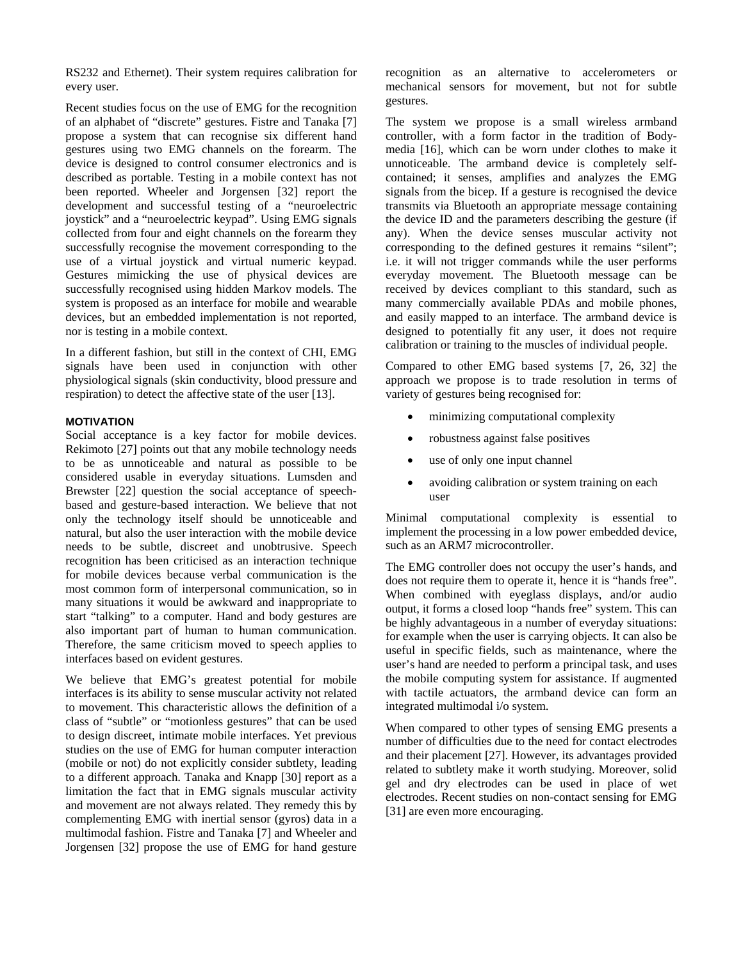RS232 and Ethernet). Their system requires calibration for every user.

Recent studies focus on the use of EMG for the recognition of an alphabet of "discrete" gestures. Fistre and Tanaka [7] propose a system that can recognise six different hand gestures using two EMG channels on the forearm. The device is designed to control consumer electronics and is described as portable. Testing in a mobile context has not been reported. Wheeler and Jorgensen [32] report the development and successful testing of a "neuroelectric joystick" and a "neuroelectric keypad". Using EMG signals collected from four and eight channels on the forearm they successfully recognise the movement corresponding to the use of a virtual joystick and virtual numeric keypad. Gestures mimicking the use of physical devices are successfully recognised using hidden Markov models. The system is proposed as an interface for mobile and wearable devices, but an embedded implementation is not reported, nor is testing in a mobile context.

In a different fashion, but still in the context of CHI, EMG signals have been used in conjunction with other physiological signals (skin conductivity, blood pressure and respiration) to detect the affective state of the user [13].

## **MOTIVATION**

Social acceptance is a key factor for mobile devices. Rekimoto [27] points out that any mobile technology needs to be as unnoticeable and natural as possible to be considered usable in everyday situations. Lumsden and Brewster [22] question the social acceptance of speechbased and gesture-based interaction. We believe that not only the technology itself should be unnoticeable and natural, but also the user interaction with the mobile device needs to be subtle, discreet and unobtrusive. Speech recognition has been criticised as an interaction technique for mobile devices because verbal communication is the most common form of interpersonal communication, so in many situations it would be awkward and inappropriate to start "talking" to a computer. Hand and body gestures are also important part of human to human communication. Therefore, the same criticism moved to speech applies to interfaces based on evident gestures.

We believe that EMG's greatest potential for mobile interfaces is its ability to sense muscular activity not related to movement. This characteristic allows the definition of a class of "subtle" or "motionless gestures" that can be used to design discreet, intimate mobile interfaces. Yet previous studies on the use of EMG for human computer interaction (mobile or not) do not explicitly consider subtlety, leading to a different approach. Tanaka and Knapp [30] report as a limitation the fact that in EMG signals muscular activity and movement are not always related. They remedy this by complementing EMG with inertial sensor (gyros) data in a multimodal fashion. Fistre and Tanaka [7] and Wheeler and Jorgensen [32] propose the use of EMG for hand gesture

recognition as an alternative to accelerometers or mechanical sensors for movement, but not for subtle gestures.

The system we propose is a small wireless armband controller, with a form factor in the tradition of Bodymedia [16], which can be worn under clothes to make it unnoticeable. The armband device is completely selfcontained; it senses, amplifies and analyzes the EMG signals from the bicep. If a gesture is recognised the device transmits via Bluetooth an appropriate message containing the device ID and the parameters describing the gesture (if any). When the device senses muscular activity not corresponding to the defined gestures it remains "silent"; i.e. it will not trigger commands while the user performs everyday movement. The Bluetooth message can be received by devices compliant to this standard, such as many commercially available PDAs and mobile phones, and easily mapped to an interface. The armband device is designed to potentially fit any user, it does not require calibration or training to the muscles of individual people.

Compared to other EMG based systems [7, 26, 32] the approach we propose is to trade resolution in terms of variety of gestures being recognised for:

- minimizing computational complexity
- robustness against false positives
- use of only one input channel
- avoiding calibration or system training on each user

Minimal computational complexity is essential to implement the processing in a low power embedded device, such as an ARM7 microcontroller.

The EMG controller does not occupy the user's hands, and does not require them to operate it, hence it is "hands free". When combined with eyeglass displays, and/or audio output, it forms a closed loop "hands free" system. This can be highly advantageous in a number of everyday situations: for example when the user is carrying objects. It can also be useful in specific fields, such as maintenance, where the user's hand are needed to perform a principal task, and uses the mobile computing system for assistance. If augmented with tactile actuators, the armband device can form an integrated multimodal i/o system.

When compared to other types of sensing EMG presents a number of difficulties due to the need for contact electrodes and their placement [27]. However, its advantages provided related to subtlety make it worth studying. Moreover, solid gel and dry electrodes can be used in place of wet electrodes. Recent studies on non-contact sensing for EMG [31] are even more encouraging.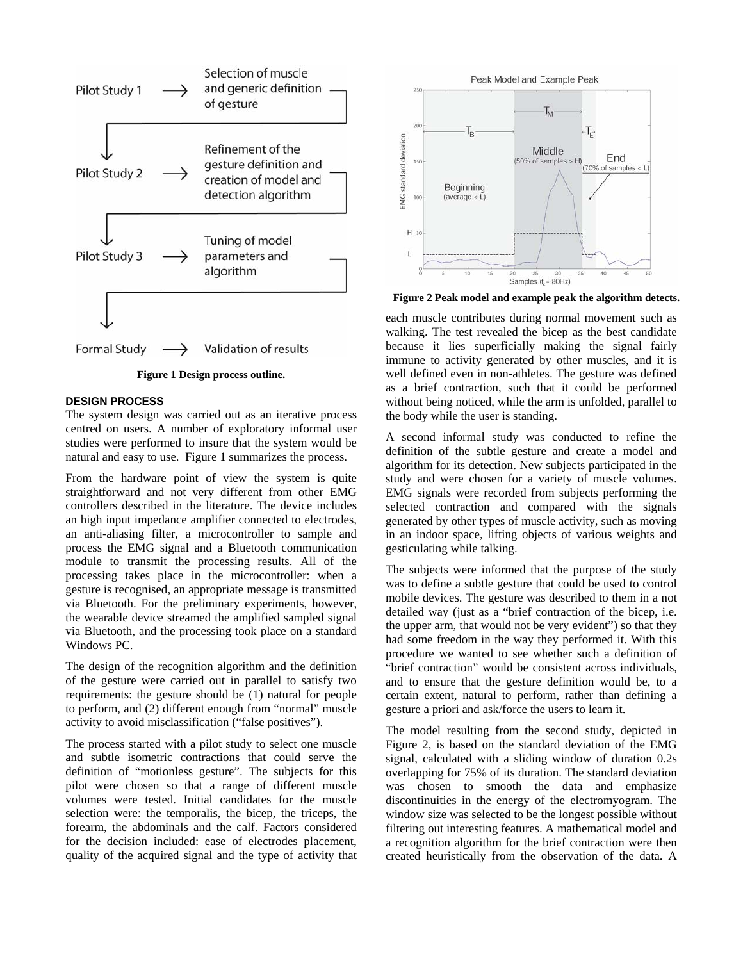

**Figure 1 Design process outline.** 

## **DESIGN PROCESS**

The system design was carried out as an iterative process centred on users. A number of exploratory informal user studies were performed to insure that the system would be natural and easy to use. Figure 1 summarizes the process.

From the hardware point of view the system is quite straightforward and not very different from other EMG controllers described in the literature. The device includes an high input impedance amplifier connected to electrodes, an anti-aliasing filter, a microcontroller to sample and process the EMG signal and a Bluetooth communication module to transmit the processing results. All of the processing takes place in the microcontroller: when a gesture is recognised, an appropriate message is transmitted via Bluetooth. For the preliminary experiments, however, the wearable device streamed the amplified sampled signal via Bluetooth, and the processing took place on a standard Windows PC.

The design of the recognition algorithm and the definition of the gesture were carried out in parallel to satisfy two requirements: the gesture should be (1) natural for people to perform, and (2) different enough from "normal" muscle activity to avoid misclassification ("false positives").

The process started with a pilot study to select one muscle and subtle isometric contractions that could serve the definition of "motionless gesture". The subjects for this pilot were chosen so that a range of different muscle volumes were tested. Initial candidates for the muscle selection were: the temporalis, the bicep, the triceps, the forearm, the abdominals and the calf. Factors considered for the decision included: ease of electrodes placement, quality of the acquired signal and the type of activity that



**Figure 2 Peak model and example peak the algorithm detects.** 

each muscle contributes during normal movement such as walking. The test revealed the bicep as the best candidate because it lies superficially making the signal fairly immune to activity generated by other muscles, and it is well defined even in non-athletes. The gesture was defined as a brief contraction, such that it could be performed without being noticed, while the arm is unfolded, parallel to the body while the user is standing.

A second informal study was conducted to refine the definition of the subtle gesture and create a model and algorithm for its detection. New subjects participated in the study and were chosen for a variety of muscle volumes. EMG signals were recorded from subjects performing the selected contraction and compared with the signals generated by other types of muscle activity, such as moving in an indoor space, lifting objects of various weights and gesticulating while talking.

The subjects were informed that the purpose of the study was to define a subtle gesture that could be used to control mobile devices. The gesture was described to them in a not detailed way (just as a "brief contraction of the bicep, i.e. the upper arm, that would not be very evident") so that they had some freedom in the way they performed it. With this procedure we wanted to see whether such a definition of "brief contraction" would be consistent across individuals, and to ensure that the gesture definition would be, to a certain extent, natural to perform, rather than defining a gesture a priori and ask/force the users to learn it.

The model resulting from the second study, depicted in Figure 2, is based on the standard deviation of the EMG signal, calculated with a sliding window of duration 0.2s overlapping for 75% of its duration. The standard deviation was chosen to smooth the data and emphasize discontinuities in the energy of the electromyogram. The window size was selected to be the longest possible without filtering out interesting features. A mathematical model and a recognition algorithm for the brief contraction were then created heuristically from the observation of the data. A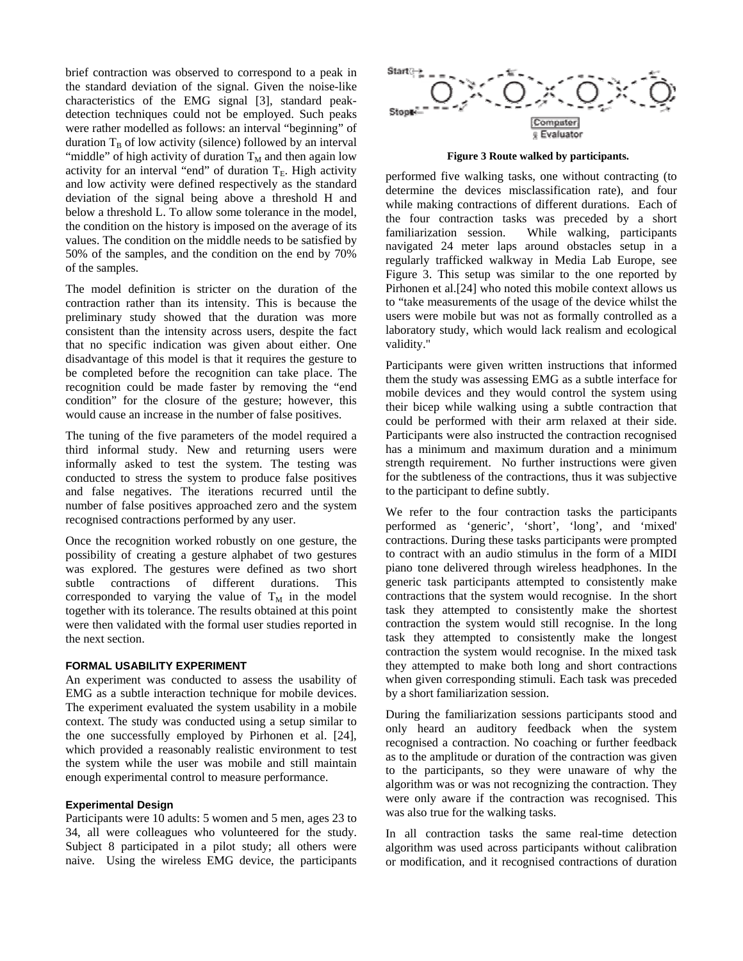brief contraction was observed to correspond to a peak in the standard deviation of the signal. Given the noise-like characteristics of the EMG signal [3], standard peakdetection techniques could not be employed. Such peaks were rather modelled as follows: an interval "beginning" of duration  $T_B$  of low activity (silence) followed by an interval "middle" of high activity of duration  $T_M$  and then again low activity for an interval "end" of duration  $T_E$ . High activity and low activity were defined respectively as the standard deviation of the signal being above a threshold H and below a threshold L. To allow some tolerance in the model, the condition on the history is imposed on the average of its values. The condition on the middle needs to be satisfied by 50% of the samples, and the condition on the end by 70% of the samples.

The model definition is stricter on the duration of the contraction rather than its intensity. This is because the preliminary study showed that the duration was more consistent than the intensity across users, despite the fact that no specific indication was given about either. One disadvantage of this model is that it requires the gesture to be completed before the recognition can take place. The recognition could be made faster by removing the "end condition" for the closure of the gesture; however, this would cause an increase in the number of false positives.

The tuning of the five parameters of the model required a third informal study. New and returning users were informally asked to test the system. The testing was conducted to stress the system to produce false positives and false negatives. The iterations recurred until the number of false positives approached zero and the system recognised contractions performed by any user.

Once the recognition worked robustly on one gesture, the possibility of creating a gesture alphabet of two gestures was explored. The gestures were defined as two short subtle contractions of different durations. This corresponded to varying the value of  $T_M$  in the model together with its tolerance. The results obtained at this point were then validated with the formal user studies reported in the next section.

#### **FORMAL USABILITY EXPERIMENT**

An experiment was conducted to assess the usability of EMG as a subtle interaction technique for mobile devices. The experiment evaluated the system usability in a mobile context. The study was conducted using a setup similar to the one successfully employed by Pirhonen et al. [24], which provided a reasonably realistic environment to test the system while the user was mobile and still maintain enough experimental control to measure performance.

#### **Experimental Design**

Participants were 10 adults: 5 women and 5 men, ages 23 to 34, all were colleagues who volunteered for the study. Subject 8 participated in a pilot study; all others were naive. Using the wireless EMG device, the participants



**Figure 3 Route walked by participants.** 

performed five walking tasks, one without contracting (to determine the devices misclassification rate), and four while making contractions of different durations. Each of the four contraction tasks was preceded by a short familiarization session. While walking, participants navigated 24 meter laps around obstacles setup in a regularly trafficked walkway in Media Lab Europe, see Figure 3. This setup was similar to the one reported by Pirhonen et al.[24] who noted this mobile context allows us to "take measurements of the usage of the device whilst the users were mobile but was not as formally controlled as a laboratory study, which would lack realism and ecological validity."

Participants were given written instructions that informed them the study was assessing EMG as a subtle interface for mobile devices and they would control the system using their bicep while walking using a subtle contraction that could be performed with their arm relaxed at their side. Participants were also instructed the contraction recognised has a minimum and maximum duration and a minimum strength requirement. No further instructions were given for the subtleness of the contractions, thus it was subjective to the participant to define subtly.

We refer to the four contraction tasks the participants performed as 'generic', 'short', 'long', and 'mixed' contractions. During these tasks participants were prompted to contract with an audio stimulus in the form of a MIDI piano tone delivered through wireless headphones. In the generic task participants attempted to consistently make contractions that the system would recognise. In the short task they attempted to consistently make the shortest contraction the system would still recognise. In the long task they attempted to consistently make the longest contraction the system would recognise. In the mixed task they attempted to make both long and short contractions when given corresponding stimuli. Each task was preceded by a short familiarization session.

During the familiarization sessions participants stood and only heard an auditory feedback when the system recognised a contraction. No coaching or further feedback as to the amplitude or duration of the contraction was given to the participants, so they were unaware of why the algorithm was or was not recognizing the contraction. They were only aware if the contraction was recognised. This was also true for the walking tasks.

In all contraction tasks the same real-time detection algorithm was used across participants without calibration or modification, and it recognised contractions of duration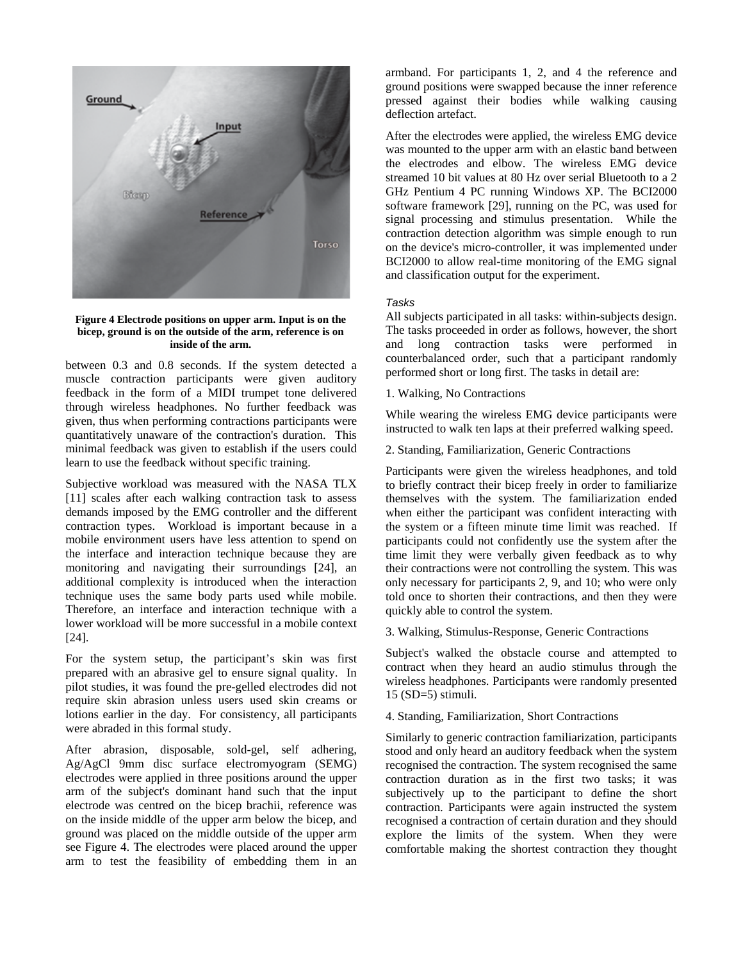

#### **Figure 4 Electrode positions on upper arm. Input is on the bicep, ground is on the outside of the arm, reference is on inside of the arm.**

between 0.3 and 0.8 seconds. If the system detected a muscle contraction participants were given auditory feedback in the form of a MIDI trumpet tone delivered through wireless headphones. No further feedback was given, thus when performing contractions participants were quantitatively unaware of the contraction's duration. This minimal feedback was given to establish if the users could learn to use the feedback without specific training.

Subjective workload was measured with the NASA TLX [11] scales after each walking contraction task to assess demands imposed by the EMG controller and the different contraction types. Workload is important because in a mobile environment users have less attention to spend on the interface and interaction technique because they are monitoring and navigating their surroundings [24], an additional complexity is introduced when the interaction technique uses the same body parts used while mobile. Therefore, an interface and interaction technique with a lower workload will be more successful in a mobile context [24].

For the system setup, the participant's skin was first prepared with an abrasive gel to ensure signal quality. In pilot studies, it was found the pre-gelled electrodes did not require skin abrasion unless users used skin creams or lotions earlier in the day. For consistency, all participants were abraded in this formal study.

After abrasion, disposable, sold-gel, self adhering, Ag/AgCl 9mm disc surface electromyogram (SEMG) electrodes were applied in three positions around the upper arm of the subject's dominant hand such that the input electrode was centred on the bicep brachii, reference was on the inside middle of the upper arm below the bicep, and ground was placed on the middle outside of the upper arm see Figure 4. The electrodes were placed around the upper arm to test the feasibility of embedding them in an

armband. For participants 1, 2, and 4 the reference and ground positions were swapped because the inner reference pressed against their bodies while walking causing deflection artefact.

After the electrodes were applied, the wireless EMG device was mounted to the upper arm with an elastic band between the electrodes and elbow. The wireless EMG device streamed 10 bit values at 80 Hz over serial Bluetooth to a 2 GHz Pentium 4 PC running Windows XP. The BCI2000 software framework [29], running on the PC, was used for signal processing and stimulus presentation. While the contraction detection algorithm was simple enough to run on the device's micro-controller, it was implemented under BCI2000 to allow real-time monitoring of the EMG signal and classification output for the experiment.

## *Tasks*

All subjects participated in all tasks: within-subjects design. The tasks proceeded in order as follows, however, the short and long contraction tasks were performed in counterbalanced order, such that a participant randomly performed short or long first. The tasks in detail are:

# 1. Walking, No Contractions

While wearing the wireless EMG device participants were instructed to walk ten laps at their preferred walking speed.

2. Standing, Familiarization, Generic Contractions

Participants were given the wireless headphones, and told to briefly contract their bicep freely in order to familiarize themselves with the system. The familiarization ended when either the participant was confident interacting with the system or a fifteen minute time limit was reached. If participants could not confidently use the system after the time limit they were verbally given feedback as to why their contractions were not controlling the system. This was only necessary for participants 2, 9, and 10; who were only told once to shorten their contractions, and then they were quickly able to control the system.

3. Walking, Stimulus-Response, Generic Contractions

Subject's walked the obstacle course and attempted to contract when they heard an audio stimulus through the wireless headphones. Participants were randomly presented 15 (SD=5) stimuli.

4. Standing, Familiarization, Short Contractions

Similarly to generic contraction familiarization, participants stood and only heard an auditory feedback when the system recognised the contraction. The system recognised the same contraction duration as in the first two tasks; it was subjectively up to the participant to define the short contraction. Participants were again instructed the system recognised a contraction of certain duration and they should explore the limits of the system. When they were comfortable making the shortest contraction they thought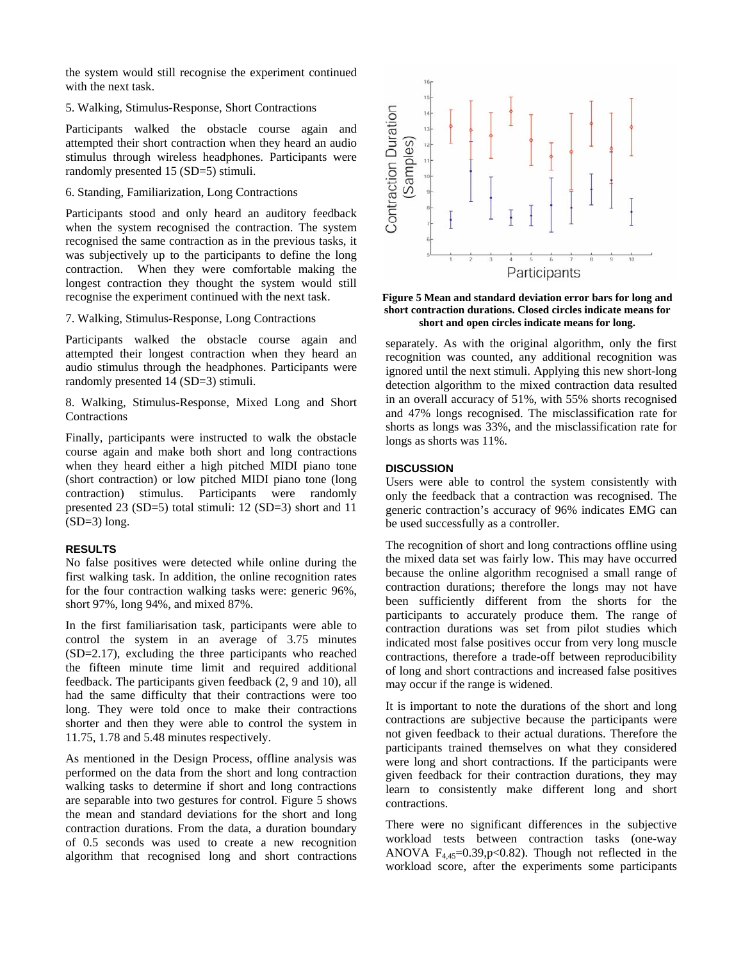the system would still recognise the experiment continued with the next task.

# 5. Walking, Stimulus-Response, Short Contractions

Participants walked the obstacle course again and attempted their short contraction when they heard an audio stimulus through wireless headphones. Participants were randomly presented 15 (SD=5) stimuli.

# 6. Standing, Familiarization, Long Contractions

Participants stood and only heard an auditory feedback when the system recognised the contraction. The system recognised the same contraction as in the previous tasks, it was subjectively up to the participants to define the long contraction. When they were comfortable making the longest contraction they thought the system would still recognise the experiment continued with the next task.

7. Walking, Stimulus-Response, Long Contractions

Participants walked the obstacle course again and attempted their longest contraction when they heard an audio stimulus through the headphones. Participants were randomly presented 14 (SD=3) stimuli.

8. Walking, Stimulus-Response, Mixed Long and Short Contractions

Finally, participants were instructed to walk the obstacle course again and make both short and long contractions when they heard either a high pitched MIDI piano tone (short contraction) or low pitched MIDI piano tone (long contraction) stimulus. Participants were randomly presented 23 (SD=5) total stimuli: 12 (SD=3) short and 11  $(SD=3)$  long.

# **RESULTS**

No false positives were detected while online during the first walking task. In addition, the online recognition rates for the four contraction walking tasks were: generic 96%, short 97%, long 94%, and mixed 87%.

In the first familiarisation task, participants were able to control the system in an average of 3.75 minutes (SD=2.17), excluding the three participants who reached the fifteen minute time limit and required additional feedback. The participants given feedback (2, 9 and 10), all had the same difficulty that their contractions were too long. They were told once to make their contractions shorter and then they were able to control the system in 11.75, 1.78 and 5.48 minutes respectively.

As mentioned in the Design Process, offline analysis was performed on the data from the short and long contraction walking tasks to determine if short and long contractions are separable into two gestures for control. Figure 5 shows the mean and standard deviations for the short and long contraction durations. From the data, a duration boundary of 0.5 seconds was used to create a new recognition algorithm that recognised long and short contractions



**Figure 5 Mean and standard deviation error bars for long and short contraction durations. Closed circles indicate means for short and open circles indicate means for long.** 

separately. As with the original algorithm, only the first recognition was counted, any additional recognition was ignored until the next stimuli. Applying this new short-long detection algorithm to the mixed contraction data resulted in an overall accuracy of 51%, with 55% shorts recognised and 47% longs recognised. The misclassification rate for shorts as longs was 33%, and the misclassification rate for longs as shorts was 11%.

## **DISCUSSION**

Users were able to control the system consistently with only the feedback that a contraction was recognised. The generic contraction's accuracy of 96% indicates EMG can be used successfully as a controller.

The recognition of short and long contractions offline using the mixed data set was fairly low. This may have occurred because the online algorithm recognised a small range of contraction durations; therefore the longs may not have been sufficiently different from the shorts for the participants to accurately produce them. The range of contraction durations was set from pilot studies which indicated most false positives occur from very long muscle contractions, therefore a trade-off between reproducibility of long and short contractions and increased false positives may occur if the range is widened.

It is important to note the durations of the short and long contractions are subjective because the participants were not given feedback to their actual durations. Therefore the participants trained themselves on what they considered were long and short contractions. If the participants were given feedback for their contraction durations, they may learn to consistently make different long and short contractions.

There were no significant differences in the subjective workload tests between contraction tasks (one-way ANOVA  $F_{4,45}=0.39$ , p<0.82). Though not reflected in the workload score, after the experiments some participants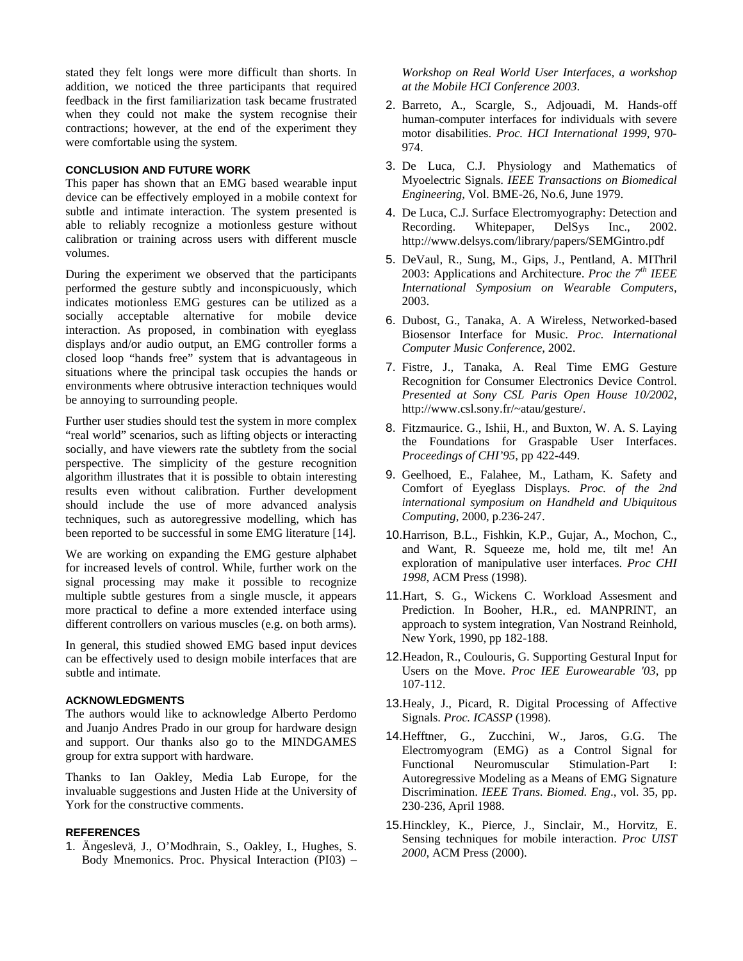stated they felt longs were more difficult than shorts. In addition, we noticed the three participants that required feedback in the first familiarization task became frustrated when they could not make the system recognise their contractions; however, at the end of the experiment they were comfortable using the system.

# **CONCLUSION AND FUTURE WORK**

This paper has shown that an EMG based wearable input device can be effectively employed in a mobile context for subtle and intimate interaction. The system presented is able to reliably recognize a motionless gesture without calibration or training across users with different muscle volumes.

During the experiment we observed that the participants performed the gesture subtly and inconspicuously, which indicates motionless EMG gestures can be utilized as a socially acceptable alternative for mobile device interaction. As proposed, in combination with eyeglass displays and/or audio output, an EMG controller forms a closed loop "hands free" system that is advantageous in situations where the principal task occupies the hands or environments where obtrusive interaction techniques would be annoying to surrounding people.

Further user studies should test the system in more complex "real world" scenarios, such as lifting objects or interacting socially, and have viewers rate the subtlety from the social perspective. The simplicity of the gesture recognition algorithm illustrates that it is possible to obtain interesting results even without calibration. Further development should include the use of more advanced analysis techniques, such as autoregressive modelling, which has been reported to be successful in some EMG literature [14].

We are working on expanding the EMG gesture alphabet for increased levels of control. While, further work on the signal processing may make it possible to recognize multiple subtle gestures from a single muscle, it appears more practical to define a more extended interface using different controllers on various muscles (e.g. on both arms).

In general, this studied showed EMG based input devices can be effectively used to design mobile interfaces that are subtle and intimate.

## **ACKNOWLEDGMENTS**

The authors would like to acknowledge Alberto Perdomo and Juanjo Andres Prado in our group for hardware design and support. Our thanks also go to the MINDGAMES group for extra support with hardware.

Thanks to Ian Oakley, Media Lab Europe, for the invaluable suggestions and Justen Hide at the University of York for the constructive comments.

## **REFERENCES**

1. Ängeslevä, J., O'Modhrain, S., Oakley, I., Hughes, S. Body Mnemonics. Proc. Physical Interaction (PI03) –

*Workshop on Real World User Interfaces, a workshop at the Mobile HCI Conference 2003*.

- 2. Barreto, A., Scargle, S., Adjouadi, M. Hands-off human-computer interfaces for individuals with severe motor disabilities. *Proc. HCI International 1999*, 970- 974.
- 3. De Luca, C.J. Physiology and Mathematics of Myoelectric Signals. *IEEE Transactions on Biomedical Engineering*, Vol. BME-26, No.6, June 1979.
- 4. De Luca, C.J. Surface Electromyography: Detection and Recording. Whitepaper, DelSys Inc., 2002. http://www.delsys.com/library/papers/SEMGintro.pdf
- 5. DeVaul, R., Sung, M., Gips, J., Pentland, A. MIThril 2003: Applications and Architecture. *Proc the 7th IEEE International Symposium on Wearable Computers*, 2003.
- 6. Dubost, G., Tanaka, A. A Wireless, Networked-based Biosensor Interface for Music. *Proc. International Computer Music Conference*, 2002.
- 7. Fistre, J., Tanaka, A. Real Time EMG Gesture Recognition for Consumer Electronics Device Control. *Presented at Sony CSL Paris Open House 10/2002*, http://www.csl.sony.fr/~atau/gesture/.
- 8. Fitzmaurice. G., Ishii, H., and Buxton, W. A. S. Laying the Foundations for Graspable User Interfaces. *Proceedings of CHI'95*, pp 422-449.
- 9. Geelhoed, E., Falahee, M., Latham, K. Safety and Comfort of Eyeglass Displays. *Proc. of the 2nd international symposium on Handheld and Ubiquitous Computing*, 2000, p.236-247.
- 10.Harrison, B.L., Fishkin, K.P., Gujar, A., Mochon, C., and Want, R. Squeeze me, hold me, tilt me! An exploration of manipulative user interfaces. *Proc CHI 1998*, ACM Press (1998).
- 11.Hart, S. G., Wickens C. Workload Assesment and Prediction. In Booher, H.R., ed. MANPRINT, an approach to system integration, Van Nostrand Reinhold, New York, 1990, pp 182-188.
- 12.Headon, R., Coulouris, G. Supporting Gestural Input for Users on the Move. *Proc IEE Eurowearable '03*, pp 107-112.
- 13.Healy, J., Picard, R. Digital Processing of Affective Signals. *Proc. ICASSP* (1998).
- 14.Hefftner, G., Zucchini, W., Jaros, G.G. The Electromyogram (EMG) as a Control Signal for Functional Neuromuscular Stimulation-Part I: Autoregressive Modeling as a Means of EMG Signature Discrimination. *IEEE Trans. Biomed. Eng*., vol. 35, pp. 230-236, April 1988.
- 15.Hinckley, K., Pierce, J., Sinclair, M., Horvitz, E. Sensing techniques for mobile interaction. *Proc UIST 2000*, ACM Press (2000).